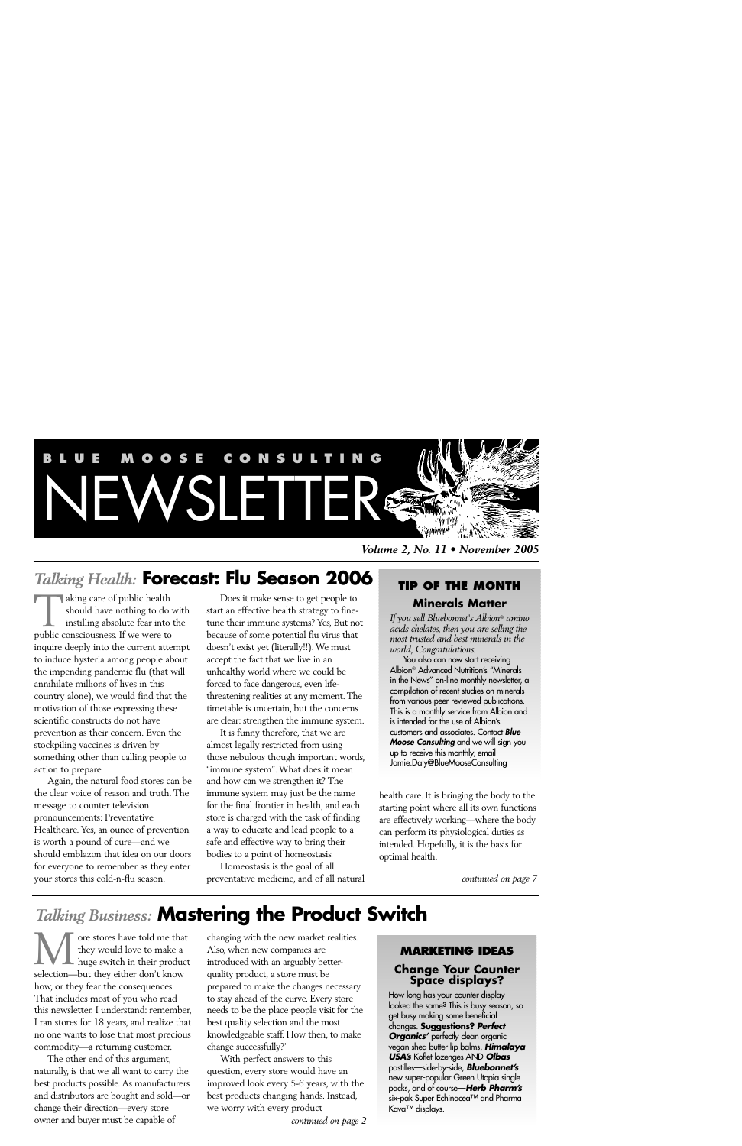

*Talking Health:* **Forecast: Flu Season 2006**

aking care of public health should have nothing to do with instilling absolute fear into the a king care of public health<br>should have nothing to do<br>instilling absolute fear into<br>public consciousness. If we were to inquire deeply into the current attempt to induce hysteria among people about the impending pandemic flu (that will annihilate millions of lives in this country alone), we would find that the motivation of those expressing these scientific constructs do not have prevention as their concern. Even the stockpiling vaccines is driven by something other than calling people to action to prepare.

Again, the natural food stores can be the clear voice of reason and truth. The message to counter television pronouncements: Preventative Healthcare. Yes, an ounce of prevention is worth a pound of cure—and we should emblazon that idea on our doors for everyone to remember as they enter your stores this cold-n-flu season.

Does it make sense to get people to start an effective health strategy to finetune their immune systems? Yes, But not because of some potential flu virus that doesn't exist yet (literally!!). We must accept the fact that we live in an unhealthy world where we could be forced to face dangerous, even lifethreatening realities at any moment. The timetable is uncertain, but the concerns are clear: strengthen the immune system.

It is funny therefore, that we are almost legally restricted from using those nebulous though important words, "immune system". What does it mean and how can we strengthen it? The immune system may just be the name for the final frontier in health, and each store is charged with the task of finding a way to educate and lead people to a safe and effective way to bring their bodies to a point of homeostasis.

Homeostasis is the goal of all preventative medicine, and of all natural

*Volume 2, No. 11 • November 2005*

# **TIP OF THE MONTH Minerals Matter**

*If you sell Bluebonnet's Albion® amino acids chelates, then you are selling the most trusted and best minerals in the world, Congratulations.*

You also can now start receiving Albion*®* Advanced Nutrition's "Minerals in the News" on-line monthly newsletter, a compilation of recent studies on minerals from various peer-reviewed publications. This is a monthly service from Albion and is intended for the use of Albion's customers and associates. Contact *Blue Moose Consulting* and we will sign you up to receive this monthly, email Jamie.Daly@BlueMooseConsulting

health care. It is bringing the body to the starting point where all its own functions are effectively working—where the body can perform its physiological duties as intended. Hopefully, it is the basis for optimal health.

*continued on page 7*

# *Talking Business:* **Mastering the Product Switch**

ore stores have told me that they would love to make a **L** huge switch in their product **Selection—but they selection** where the don't know selection—but they either don't know how, or they fear the consequences. That includes most of you who read this newsletter. I understand: remember, I ran stores for 18 years, and realize that no one wants to lose that most precious commodity—a returning customer.

The other end of this argument, naturally, is that we all want to carry the best products possible. As manufacturers and distributors are bought and sold—or change their direction—every store owner and buyer must be capable of

changing with the new market realities. Also, when new companies are introduced with an arguably betterquality product, a store must be prepared to make the changes necessary to stay ahead of the curve. Every store needs to be the place people visit for the best quality selection and the most knowledgeable staff. How then, to make change successfully?'

With perfect answers to this question, every store would have an improved look every 5-6 years, with the best products changing hands. Instead, we worry with every product

*continued on page 2*

## **MARKETING IDEAS Change Your Counter Space displays?**

How long has your counter display looked the same? This is busy season, so get busy making some beneficial changes. **Suggestions?** *Perfect Organics'* perfectly clean organic vegan shea butter lip balms, *Himalaya USA's* Koflet lozenges AND *Olbas* pastilles—side-by-side, *Bluebonnet's* new super-popular Green Utopia single packs, and of course—*Herb Pharm's* six-pak Super Echinacea™ and Pharma Kava™ displays.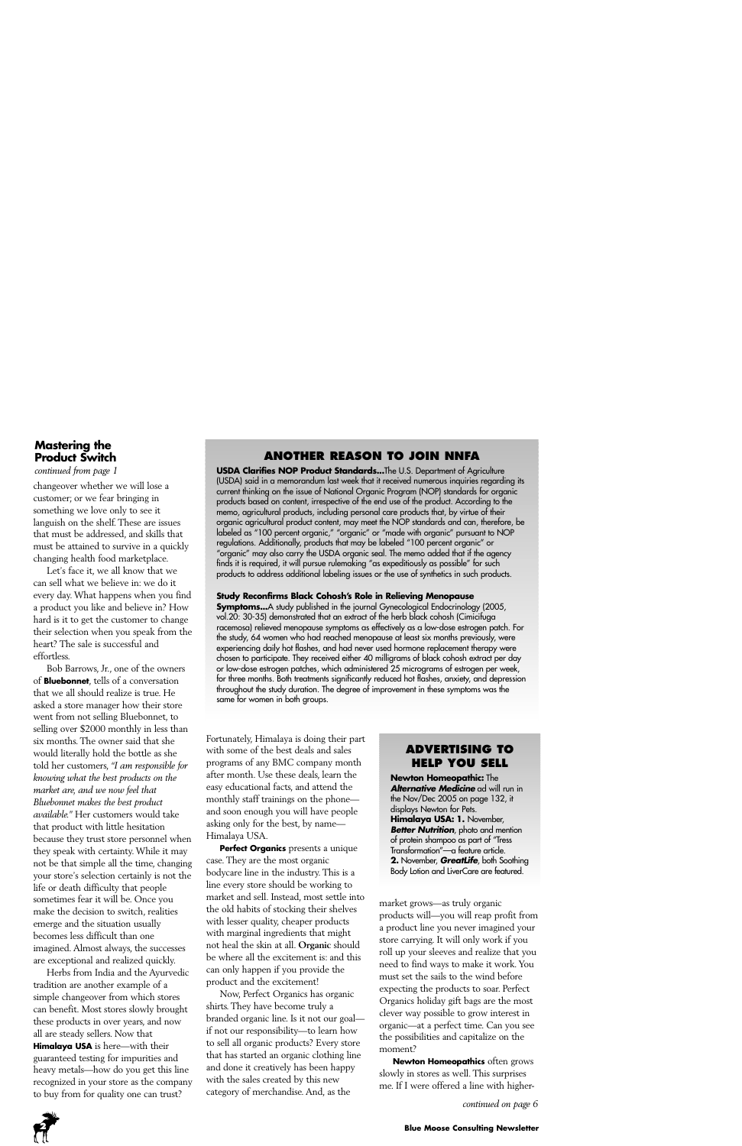# **Mastering the Product Switch**

*continued from page 1*

changeover whether we will lose a customer; or we fear bringing in something we love only to see it languish on the shelf. These are issues that must be addressed, and skills that must be attained to survive in a quickly changing health food marketplace.

Let's face it, we all know that we can sell what we believe in: we do it every day. What happens when you find a product you like and believe in? How hard is it to get the customer to change their selection when you speak from the heart? The sale is successful and effortless.

Bob Barrows, Jr., one of the owners of **Bluebonnet**, tells of a conversation that we all should realize is true. He asked a store manager how their store went from not selling Bluebonnet, to selling over \$2000 monthly in less than six months. The owner said that she would literally hold the bottle as she told her customers, *"I am responsible for knowing what the best products on the market are, and we now feel that Bluebonnet makes the best product available."* Her customers would take that product with little hesitation because they trust store personnel when they speak with certainty. While it may not be that simple all the time, changing your store's selection certainly is not the life or death difficulty that people sometimes fear it will be. Once you make the decision to switch, realities emerge and the situation usually becomes less difficult than one imagined. Almost always, the successes are exceptional and realized quickly.

Herbs from India and the Ayurvedic tradition are another example of a simple changeover from which stores can benefit. Most stores slowly brought these products in over years, and now all are steady sellers. Now that **Himalaya USA** is here—with their guaranteed testing for impurities and heavy metals—how do you get this line recognized in your store as the company to buy from for quality one can trust?

# **ANOTHER REASON TO JOIN NNFA**

**USDA Clarifies NOP Product Standards...**The U.S. Department of Agriculture (USDA) said in a memorandum last week that it received numerous inquiries regarding its current thinking on the issue of National Organic Program (NOP) standards for organic products based on content, irrespective of the end use of the product. According to the memo, agricultural products, including personal care products that, by virtue of their organic agricultural product content, may meet the NOP standards and can, therefore, be labeled as "100 percent organic," "organic" or "made with organic" pursuant to NOP regulations. Additionally, products that may be labeled "100 percent organic" or "organic" may also carry the USDA organic seal. The memo added that if the agency finds it is required, it will pursue rulemaking "as expeditiously as possible" for such products to address additional labeling issues or the use of synthetics in such products.

#### **Study Reconfirms Black Cohosh's Role in Relieving Menopause**

**Symptoms...**A study published in the journal Gynecological Endocrinology (2005, vol.20: 30-35) demonstrated that an extract of the herb black cohosh (Cimicifuga racemosa) relieved menopause symptoms as effectively as a low-dose estrogen patch. For the study, 64 women who had reached menopause at least six months previously, were experiencing daily hot flashes, and had never used hormone replacement therapy were chosen to participate. They received either 40 milligrams of black cohosh extract per day or low-dose estrogen patches, which administered 25 micrograms of estrogen per week, for three months. Both treatments significantly reduced hot flashes, anxiety, and depression throughout the study duration. The degree of improvement in these symptoms was the same for women in both groups.

Fortunately, Himalaya is doing their part with some of the best deals and sales programs of any BMC company month after month. Use these deals, learn the easy educational facts, and attend the monthly staff trainings on the phone and soon enough you will have people asking only for the best, by name— Himalaya USA.

**Perfect Organics** presents a unique case. They are the most organic bodycare line in the industry. This is a line every store should be working to market and sell. Instead, most settle into the old habits of stocking their shelves with lesser quality, cheaper products with marginal ingredients that might not heal the skin at all. **Organic** should be where all the excitement is: and this can only happen if you provide the product and the excitement!

Now, Perfect Organics has organic shirts. They have become truly a branded organic line. Is it not our goal if not our responsibility—to learn how to sell all organic products? Every store that has started an organic clothing line and done it creatively has been happy with the sales created by this new category of merchandise. And, as the

# **ADVERTISING TO HELP YOU SELL**

**Newton Homeopathic:** The *Alternative Medicine* ad will run in the Nov/Dec 2005 on page 132, it displays Newton for Pets. **Himalaya USA: 1.** November, *Better Nutrition, photo and mention* of protein shampoo as part of "Tress Transformation"—a feature article. **2.** November, *GreatLife*, both Soothing Body Lotion and LiverCare are featured.

market grows—as truly organic products will—you will reap profit from a product line you never imagined your store carrying. It will only work if you roll up your sleeves and realize that you need to find ways to make it work. You must set the sails to the wind before expecting the products to soar. Perfect Organics holiday gift bags are the most clever way possible to grow interest in organic—at a perfect time. Can you see the possibilities and capitalize on the moment?

**Newton Homeopathics** often grows slowly in stores as well. This surprises me. If I were offered a line with higher-

*continued on page 6*

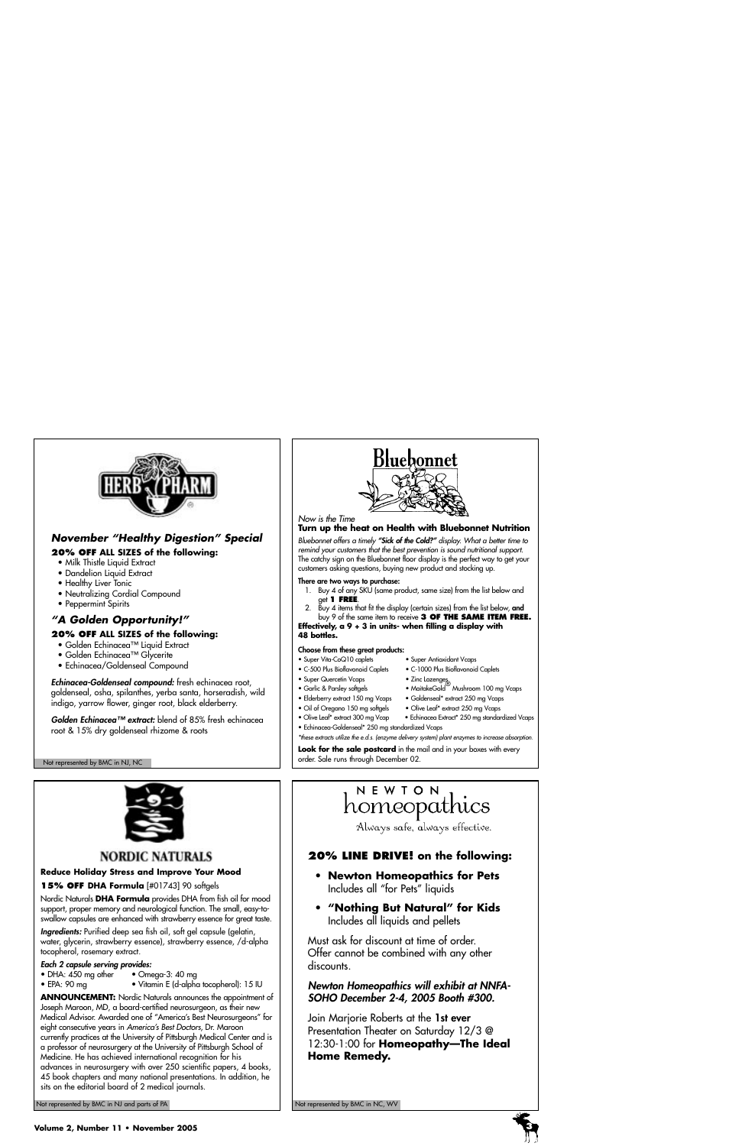

# *November "Healthy Digestion" Special*

#### **20% OFF ALL SIZES of the following:**

- Milk Thistle Liquid Extract
- Dandelion Liquid Extract
- Healthy Liver Tonic
- Neutralizing Cordial Compound
- Peppermint Spirits

# *"A Golden Opportunity!"*

#### **20% OFF ALL SIZES of the following:**

- Golden Echinacea™ Liquid Extract
- Golden Echinacea™ Glycerite
- Echinacea/Goldenseal Compound

*Echinacea-Goldenseal compound:* fresh echinacea root, goldenseal, osha, spilanthes, yerba santa, horseradish, wild indigo, yarrow flower, ginger root, black elderberry.

*Golden Echinacea™ extract:* blend of 85% fresh echinacea root & 15% dry goldenseal rhizome & roots

#### Not represented by BMC in NJ, NC



#### *Now is the Time*

### **Turn up the heat on Health with Bluebonnet Nutrition**

*Bluebonnet offers a timely "Sick of the Cold?" display. What a better time to remind your customers that the best prevention is sound nutritional support.* The catchy sign on the Bluebonnet floor display is the perfect way to get your customers asking questions, buying new product and stocking up.

#### **There are two ways to purchase:**

- 1. Buy 4 of any SKU (same product, same size) from the list below and get **1 FREE**.
- 2. Buy 4 items that fit the display (certain sizes) from the list below, **and** buy 9 of the same item to receive **3 OF THE SAME ITEM FREE.**

**Effectively, a 9 + 3 in units- when filling a display with 48 bottles.**

#### **Choose from these great products:**

- Super Vita-CoQ10 caplets Super Antioxidant Vcaps
- C-500 Plus Bioflavonoid Caplets C-1000 Plus Bioflavonoid Caplets
- Super Quercetin Vcaps • Garlic & Parsley softgels • MaitakeGold® Mushroom 100 mg Vcaps
- 
- Elderberry extract 150 mg Vcaps Goldenseal\* extract 250 mg Vcaps
- Oil of Oregano 150 mg softgels Olive Leaf\* extract 250 mg Vcaps
- Olive Leaf\* extract 300 mg Vcap Echinacea Extract\* 250 mg standardized Vcaps • Echinacea-Goldenseal\* 250 mg standardized Vcaps

*\*these extracts utilize the e.d.s. (enzyme delivery system) plant enzymes to increase absorption.*

Look for the sale postcard in the mail and in your boxes with every order. Sale runs through December 02.



# **NORDIC NATURALS**

#### **Reduce Holiday Stress and Improve Your Mood**

**15% OFF DHA Formula** [#01743] 90 softgels

Nordic Naturals **DHA Formula** provides DHA from fish oil for mood support, proper memory and neurological function. The small, easy-toswallow capsules are enhanced with strawberry essence for great taste.

*Ingredients:* Purified deep sea fish oil, soft gel capsule (gelatin, water, glycerin, strawberry essence), strawberry essence, /d-alpha tocopherol, rosemary extract.

#### *Each 2 capsule serving provides:*

- DHA: 450 mg other Omega-3: 40 mg
- EPA: 90 mg Vitamin E (d-alpha tocopherol): 15 IU

**ANNOUNCEMENT:** Nordic Naturals announces the appointment of Joseph Maroon, MD, a board-certified neurosurgeon, as their new Medical Advisor. Awarded one of "America's Best Neurosurgeons" for eight consecutive years in *America's Best Doctors*, Dr. Maroon currently practices at the University of Pittsburgh Medical Center and is a professor of neurosurgery at the University of Pittsburgh School of Medicine. He has achieved international recognition for his advances in neurosurgery with over 250 scientific papers, 4 books, 45 book chapters and many national presentations. In addition, he sits on the editorial board of 2 medical journals.

Not represented by BMC in NJ and parts of PA Not represented by BMC in NC, WV Not represented by BMC in NC, WV

# NEWTON homeopathics

Always safe, always effective.

# **20% LINE DRIVE! on the following:**

- **Newton Homeopathics for Pets**  Includes all "for Pets" liquids
- **"Nothing But Natural" for Kids** Includes all liquids and pellets

Must ask for discount at time of order. Offer cannot be combined with any other discounts.

### *Newton Homeopathics will exhibit at NNFA-SOHO December 2-4, 2005 Booth #300.*

Join Marjorie Roberts at the **1st ever** Presentation Theater on Saturday 12/3 @ 12:30-1:00 for **Homeopathy—The Ideal Home Remedy.**

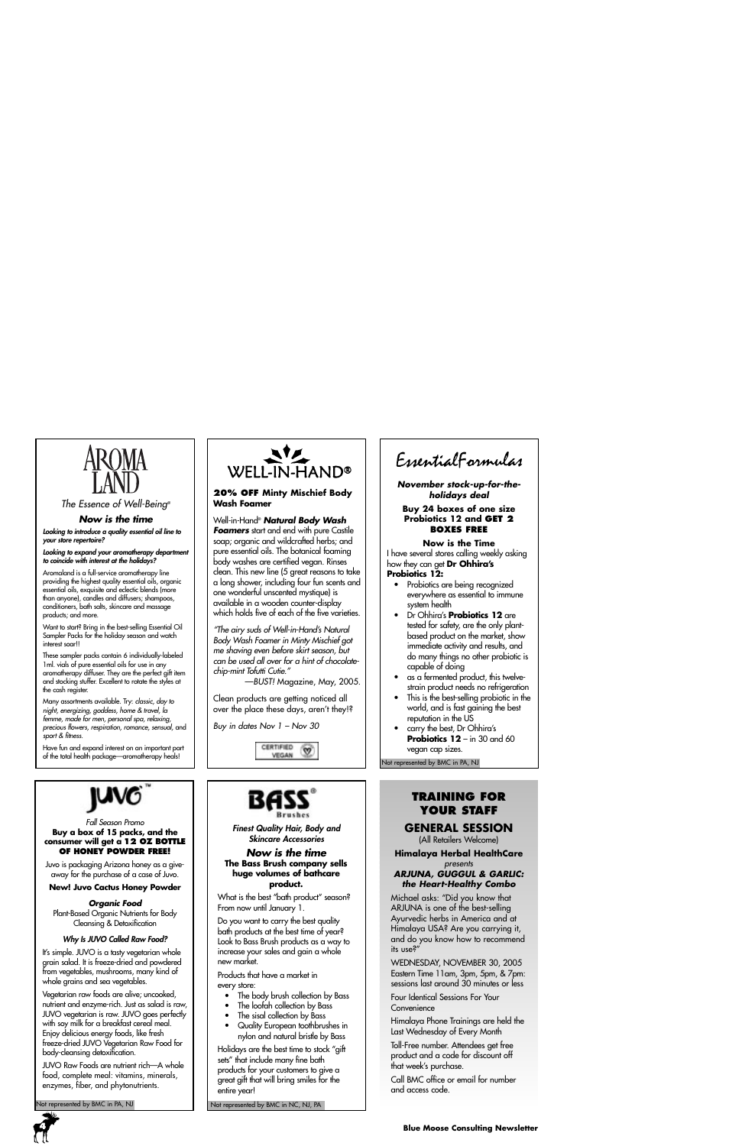

*The Essence of Well-Being®*

#### *Now is the time*

*Looking to introduce a quality essential oil line to your store repertoire?*

*Looking to expand your aromatherapy department to coincide with interest at the holidays?*

Aromaland is a full-service aromatherapy line providing the highest quality essential oils, organic essential oils, exquisite and eclectic blends (more than anyone), candles and diffusers; shampoos, conditioners, bath salts, skincare and massage products; and more.

Want to start? Bring in the best-selling Essential Oil Sampler Packs for the holiday season and watch interest soar!!

These sampler packs contain 6 individually-labeled 1ml. vials of pure essential oils for use in any aromatherapy diffuser. They are the perfect gift item and stocking stuffer. Excellent to rotate the styles at the cash register.

Many assortments available. Try: *classic, day to night, energizing, goddess, home & travel, la femme, made for men, personal spa, relaxing, precious flowers, respiration, romance, sensual,* and *sport & fitness.*

Have fun and expand interest on an important part of the total health package—aromatherapy heals!



#### *Fall Season Promo* **Buy a box of 15 packs, and the consumer will get a 12 OZ BOTTLE OF HONEY POWDER FREE!**

Juvo is packaging Arizona honey as a giveaway for the purchase of a case of Juvo.

**New! Juvo Cactus Honey Powder**

*Organic Food* 

Plant-Based Organic Nutrients for Body Cleansing & Detoxification

#### *Why Is JUVO Called Raw Food?*

It's simple. JUVO is a tasty vegetarian whole grain salad. It is freeze-dried and powdered from vegetables, mushrooms, many kind of whole grains and sea vegetables.

Vegetarian raw foods are alive; uncooked, nutrient and enzyme-rich. Just as salad is raw, JUVO vegetarian is raw. JUVO goes perfectly with soy milk for a breakfast cereal meal. Enjoy delicious energy foods, like fresh freeze-dried JUVO Vegetarian Raw Food for body-cleansing detoxification.

JUVO Raw Foods are nutrient rich—A whole food, complete meal: vitamins, minerals, enzymes, fiber, and phytonutrients.

lot represented by BMC in PA, NJ



#### **20% OFF Minty Mischief Body Wash Foamer**

#### Well-in-Hand® *Natural Body Wash* **Foamers** start and end with pure Castile

soap; organic and wildcrafted herbs; and pure essential oils. The botanical foaming body washes are certified vegan. Rinses clean. This new line (5 great reasons to take a long shower, including four fun scents and one wonderful unscented mystique) is available in a wooden counter-display which holds five of each of the five varieties.

*"The airy suds of Well-in-Hand's Natural Body Wash Foamer in Minty Mischief got me shaving even before skirt season, but can be used all over for a hint of chocolatechip-mint Tofutti Cutie."* 

—*BUST!* Magazine, May, 2005.

Clean products are getting noticed all over the place these days, aren't they!?

*Buy in dates Nov 1 – Nov 30* 





*Finest Quality Hair, Body and Skincare Accessories*

#### *Now is the time* **The Bass Brush company sells huge volumes of bathcare product.**

What is the best "bath product" season? From now until January 1.

Do you want to carry the best quality bath products at the best time of year? Look to Bass Brush products as a way to increase your sales and gain a whole new market.

Products that have a market in every store:

- The body brush collection by Bass
- The loofah collection by Bass
- The sisal collection by Bass
- Quality European toothbrushes in nylon and natural bristle by Bass

Holidays are the best time to stock "gift sets" that include many fine bath products for your customers to give a great gift that will bring smiles for the entire year!

Not represented by BMC in NC, NJ, PA

EssentialFormulas

*November stock-up-for-theholidays deal*

**Buy 24 boxes of one size Probiotics 12 and GET 2 BOXES FREE**

#### **Now is the Time**

I have several stores calling weekly asking how they can get **Dr Ohhira's Probiotics 12:**

- Probiotics are being recognized everywhere as essential to immune system health
- Dr Ohhira's **Probiotics 12** are tested for safety, are the only plantbased product on the market, show immediate activity and results, and do many things no other probiotic is capable of doing
- as a fermented product, this twelvestrain product needs no refrigeration
- This is the best-selling probiotic in the world, and is fast gaining the best reputation in the US
- carry the best, Dr Ohhira's **Probiotics 12** – in 30 and 60 vegan cap sizes.

Not represented by BMC in PA, NJ

# **TRAINING FOR YOUR STAFF**

# **GENERAL SESSION**

(All Retailers Welcome)

**Himalaya Herbal HealthCare** *presents* 

#### *ARJUNA, GUGGUL & GARLIC: the Heart-Healthy Combo*

Michael asks: "Did you know that ARJUNA is one of the best-selling Ayurvedic herbs in America and at Himalaya USA? Are you carrying it, and do you know how to recommend its use?"

WEDNESDAY, NOVEMBER 30, 2005 Eastern Time 11am, 3pm, 5pm, & 7pm: sessions last around 30 minutes or less

Four Identical Sessions For Your **Convenience** 

Himalaya Phone Trainings are held the Last Wednesday of Every Month

Toll-Free number. Attendees get free product and a code for discount off that week's purchase.

Call BMC office or email for number and access code.

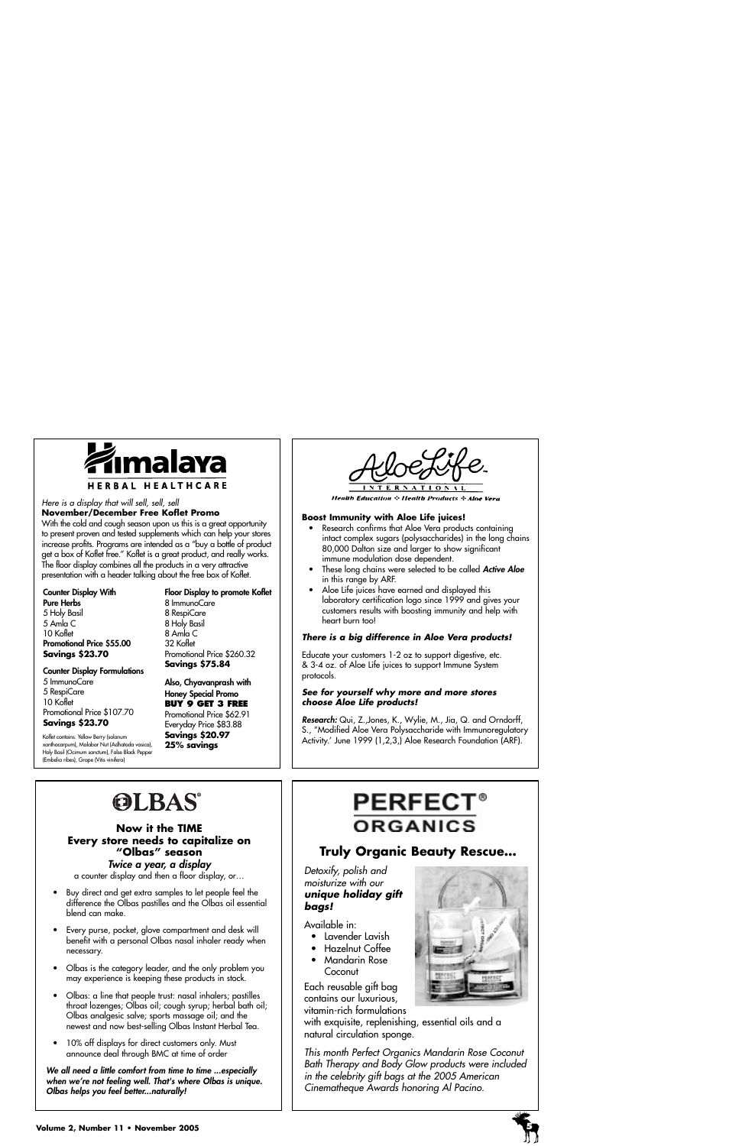

#### *Here is a display that will sell, sell, sell*  **November/December Free Koflet Promo**

With the cold and cough season upon us this is a great opportunity to present proven and tested supplements which can help your stores increase profits. Programs are intended as a "buy a bottle of product get a box of Koflet free." Koflet is a great product, and really works. The floor display combines all the products in a very attractive presentation with a header talking about the free box of Koflet.

#### **Counter Display With**

**Pure Herbs** 5 Holy Basil 5 Amla C 10 Koflet **Promotional Price \$55.00 Savings \$23.70**

### **Floor Display to promote Koflet**

8 ImmunoCare 8 RespiCare 8 Holy Basil 8 Amla C 32 Koflet Promotional Price \$260.32 **Savings \$75.84**

#### **Counter Display Formulations**

5 ImmunoCare 5 RespiCare 10 Koflet Promotional Price \$107.70

# **Savings \$23.70**

Koflet contains: Yellow Berry (solanum xanthocarpum), Malabar Nut (Adhatoda vasica), Holy Basil (Ocimum sanctum), False Black Pepper (Embelia ribes), Grape (Vitis vinifera)

**Honey Special Promo BUY 9 GET 3 FREE** Promotional Price \$62.91 Everyday Price \$83.88 **Savings \$20.97 25% savings** 

**Also, Chyavanprash with**

**Health Education : Health Products : Aloe Vera** 

#### **Boost Immunity with Aloe Life juices!**

- Research confirms that Aloe Vera products containing intact complex sugars (polysaccharides) in the long chains 80,000 Dalton size and larger to show significant immune modulation dose dependent.
- These long chains were selected to be called *Active Aloe* in this range by ARF.
- Aloe Life juices have earned and displayed this laboratory certification logo since 1999 and gives your customers results with boosting immunity and help with heart burn too!

#### *There is a big difference in Aloe Vera products!*

Educate your customers 1-2 oz to support digestive, etc. & 3-4 oz. of Aloe Life juices to support Immune System protocols.

#### *See for yourself why more and more stores choose Aloe Life products!*

*Research:* Qui, Z.,Jones, K., Wylie, M., Jia, Q. and Orndorff, S., "Modified Aloe Vera Polysaccharide with Immunoregulatory Activity.' June 1999 (1,2,3,) Aloe Research Foundation (ARF).

# **OLBAS®**

#### **Now it the TIME Every store needs to capitalize on "Olbas" season** *Twice a year, a display*

a counter display and then a floor display, or…

- Buy direct and get extra samples to let people feel the difference the Olbas pastilles and the Olbas oil essential blend can make.
- Every purse, pocket, glove compartment and desk will benefit with a personal Olbas nasal inhaler ready when necessary.
- Olbas is the category leader, and the only problem you may experience is keeping these products in stock.
- Olbas: a line that people trust: nasal inhalers; pastilles throat lozenges; Olbas oil; cough syrup; herbal bath oil; Olbas analgesic salve; sports massage oil; and the newest and now best-selling Olbas Instant Herbal Tea.
- 10% off displays for direct customers only. Must announce deal through BMC at time of order

*We all need a little comfort from time to time ...especially when we're not feeling well. That's where Olbas is unique. Olbas helps you feel better...naturally!* 

# **PERFEC ORGANICS**

# **Truly Organic Beauty Rescue…**

#### *Detoxify, polish and moisturize with our unique holiday gift bags!*

Available in:

- Lavender Lavish
- Hazelnut Coffee
- Mandarin Rose **Coconut**

Each reusable gift bag contains our luxurious, vitamin-rich formulations

with exquisite, replenishing, essential oils and a natural circulation sponge.

*This month Perfect Organics Mandarin Rose Coconut Bath Therapy and Body Glow products were included in the celebrity gift bags at the 2005 American Cinematheque Awards honoring Al Pacino.*



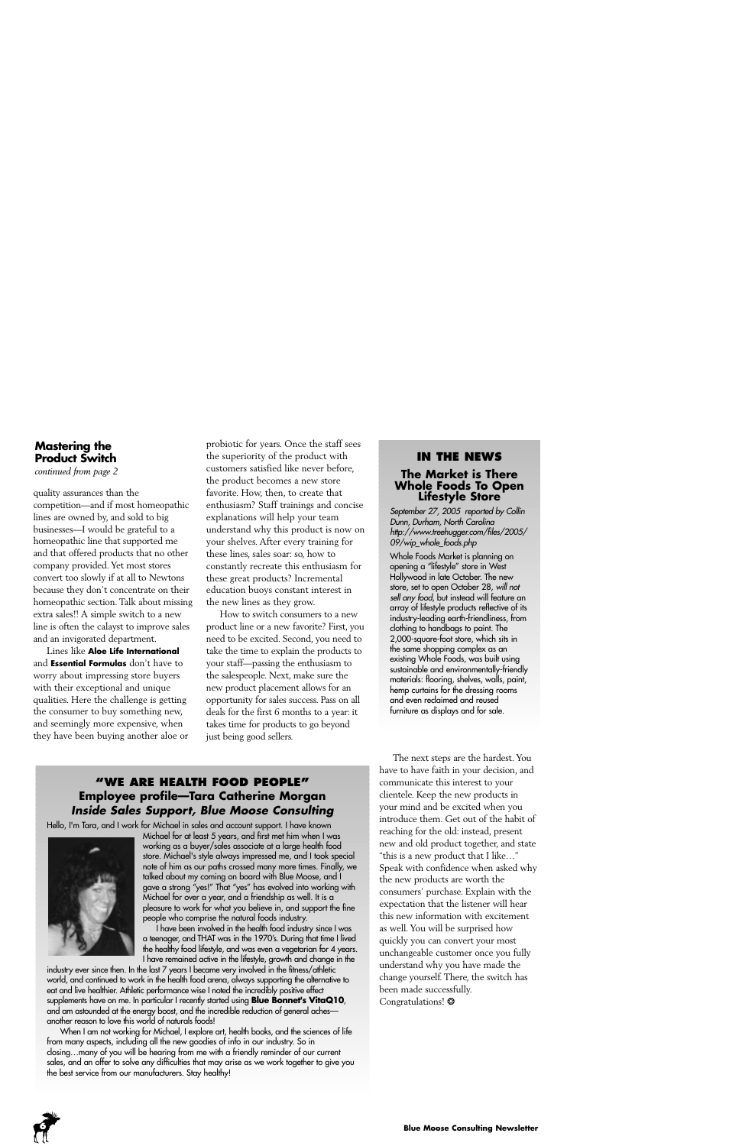# **Mastering the Product Switch**

*continued from page 2*

quality assurances than the competition—and if most homeopathic lines are owned by, and sold to big businesses—I would be grateful to a homeopathic line that supported me and that offered products that no other company provided. Yet most stores convert too slowly if at all to Newtons because they don't concentrate on their homeopathic section. Talk about missing extra sales!! A simple switch to a new line is often the calayst to improve sales and an invigorated department.

Lines like **Aloe Life International** and **Essential Formulas** don't have to worry about impressing store buyers with their exceptional and unique qualities. Here the challenge is getting the consumer to buy something new, and seemingly more expensive, when they have been buying another aloe or

probiotic for years. Once the staff sees the superiority of the product with customers satisfied like never before, the product becomes a new store favorite. How, then, to create that enthusiasm? Staff trainings and concise explanations will help your team understand why this product is now on your shelves. After every training for these lines, sales soar: so, how to constantly recreate this enthusiasm for these great products? Incremental education buoys constant interest in the new lines as they grow.

How to switch consumers to a new product line or a new favorite? First, you need to be excited. Second, you need to take the time to explain the products to your staff—passing the enthusiasm to the salespeople. Next, make sure the new product placement allows for an opportunity for sales success. Pass on all deals for the first 6 months to a year: it takes time for products to go beyond just being good sellers.

#### **IN THE NEWS**

# **The Market is There Whole Foods To Open Lifestyle Store**

*September 27, 2005 reported by Collin Dunn, Durham, North Carolina http://www.treehugger.com/files/2005/ 09/wip\_whole\_foods.php*

Whole Foods Market is planning on opening a "lifestyle" store in West Hollywood in late October. The new store, set to open October 28, *will not sell any food*, but instead will feature an array of lifestyle products reflective of its industry-leading earth-friendliness, from clothing to handbags to paint. The 2,000-square-foot store, which sits in the same shopping complex as an existing Whole Foods, was built using sustainable and environmentally-friendly materials: flooring, shelves, walls, paint, hemp curtains for the dressing rooms and even reclaimed and reused furniture as displays and for sale.

# **"WE ARE HEALTH FOOD PEOPLE" Employee profile—Tara Catherine Morgan** *Inside Sales Support, Blue Moose Consulting*

Hello, I'm Tara, and I work for Michael in sales and account support. I have known



Michael for at least 5 years, and first met him when I was working as a buyer/sales associate at a large health food store. Michael's style always impressed me, and I took special note of him as our paths crossed many more times. Finally, we talked about my coming on board with Blue Moose, and I gave a strong "yes!" That "yes" has evolved into working with Michael for over a year, and a friendship as well. It is a pleasure to work for what you believe in, and support the fine people who comprise the natural foods industry.

I have been involved in the health food industry since I was a teenager, and THAT was in the 1970's. During that time I lived the healthy food lifestyle, and was even a vegetarian for 4 years. I have remained active in the lifestyle, growth and change in the

industry ever since then. In the last 7 years I became very involved in the fitness/athletic world, and continued to work in the health food arena, always supporting the alternative to eat and live healthier. Athletic performance wise I noted the incredibly positive effect supplements have on me. In particular I recently started using **Blue Bonnet's VitaQ10**, and am astounded at the energy boost, and the incredible reduction of general aches another reason to love this world of naturals foods!

When I am not working for Michael, I explore art, health books, and the sciences of life from many aspects, including all the new goodies of info in our industry. So in closing…many of you will be hearing from me with a friendly reminder of our current sales, and an offer to solve any difficulties that may arise as we work together to give you the best service from our manufacturers. Stay healthy!

The next steps are the hardest. You have to have faith in your decision, and communicate this interest to your clientele. Keep the new products in your mind and be excited when you introduce them. Get out of the habit of reaching for the old: instead, present new and old product together, and state "this is a new product that I like…" Speak with confidence when asked why the new products are worth the consumers' purchase. Explain with the expectation that the listener will hear this new information with excitement as well. You will be surprised how quickly you can convert your most unchangeable customer once you fully understand why you have made the change yourself. There, the switch has been made successfully. Congratulations! ❂

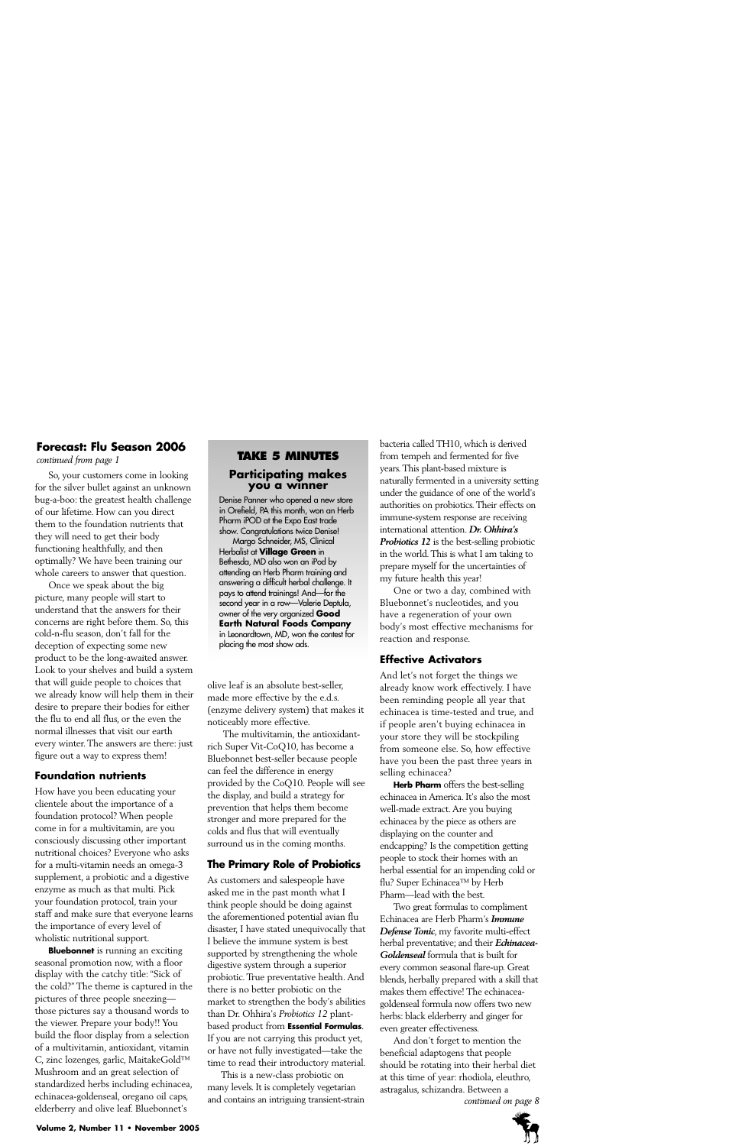# **Forecast: Flu Season 2006**

*continued from page 1*

So, your customers come in looking for the silver bullet against an unknown bug-a-boo: the greatest health challenge of our lifetime. How can you direct them to the foundation nutrients that they will need to get their body functioning healthfully, and then optimally? We have been training our whole careers to answer that question.

Once we speak about the big picture, many people will start to understand that the answers for their concerns are right before them. So, this cold-n-flu season, don't fall for the deception of expecting some new product to be the long-awaited answer. Look to your shelves and build a system that will guide people to choices that we already know will help them in their desire to prepare their bodies for either the flu to end all flus, or the even the normal illnesses that visit our earth every winter. The answers are there: just figure out a way to express them!

# **Foundation nutrients**

How have you been educating your clientele about the importance of a foundation protocol? When people come in for a multivitamin, are you consciously discussing other important nutritional choices? Everyone who asks for a multi-vitamin needs an omega-3 supplement, a probiotic and a digestive enzyme as much as that multi. Pick your foundation protocol, train your staff and make sure that everyone learns the importance of every level of wholistic nutritional support.

**Bluebonnet** is running an exciting seasonal promotion now, with a floor display with the catchy title: "Sick of the cold?" The theme is captured in the pictures of three people sneezing those pictures say a thousand words to the viewer. Prepare your body!! You build the floor display from a selection of a multivitamin, antioxidant, vitamin C, zinc lozenges, garlic, MaitakeGold™ Mushroom and an great selection of standardized herbs including echinacea, echinacea-goldenseal, oregano oil caps, elderberry and olive leaf. Bluebonnet's

# **TAKE 5 MINUTES Participating makes you a winner**

Denise Panner who opened a new store in Orefield, PA this month, won an Herb Pharm iPOD at the Expo East trade show. Congratulations twice Denise!

Margo Schneider, MS, Clinical Herbalist at **Village Green** in Bethesda, MD also won an iPod by attending an Herb Pharm training and answering a difficult herbal challenge. It pays to attend trainings! And—for the second year in a row—Valerie Deptula, owner of the very organized **Good Earth Natural Foods Company** in Leonardtown, MD, won the contest for placing the most show ads.

olive leaf is an absolute best-seller, made more effective by the e.d.s. (enzyme delivery system) that makes it noticeably more effective.

The multivitamin, the antioxidantrich Super Vit-CoQ10, has become a Bluebonnet best-seller because people can feel the difference in energy provided by the CoQ10. People will see the display, and build a strategy for prevention that helps them become stronger and more prepared for the colds and flus that will eventually surround us in the coming months.

# **The Primary Role of Probiotics**

As customers and salespeople have asked me in the past month what I think people should be doing against the aforementioned potential avian flu disaster, I have stated unequivocally that I believe the immune system is best supported by strengthening the whole digestive system through a superior probiotic. True preventative health. And there is no better probiotic on the market to strengthen the body's abilities than Dr. Ohhira's *Probiotics 12* plantbased product from **Essential Formulas**. If you are not carrying this product yet, or have not fully investigated—take the time to read their introductory material.

This is a new-class probiotic on many levels. It is completely vegetarian and contains an intriguing transient-strain bacteria called TH10, which is derived from tempeh and fermented for five years. This plant-based mixture is naturally fermented in a university setting under the guidance of one of the world's authorities on probiotics. Their effects on immune-system response are receiving international attention. *Dr. Ohhira's Probiotics 12* is the best-selling probiotic in the world. This is what I am taking to prepare myself for the uncertainties of my future health this year!

One or two a day, combined with Bluebonnet's nucleotides, and you have a regeneration of your own body's most effective mechanisms for reaction and response.

# **Effective Activators**

And let's not forget the things we already know work effectively. I have been reminding people all year that echinacea is time-tested and true, and if people aren't buying echinacea in your store they will be stockpiling from someone else. So, how effective have you been the past three years in selling echinacea?

**Herb Pharm** offers the best-selling echinacea in America. It's also the most well-made extract. Are you buying echinacea by the piece as others are displaying on the counter and endcapping? Is the competition getting people to stock their homes with an herbal essential for an impending cold or flu? Super Echinacea™ by Herb Pharm—lead with the best.

Two great formulas to compliment Echinacea are Herb Pharm's *Immune Defense Tonic*, my favorite multi-effect herbal preventative; and their *Echinacea-Goldenseal* formula that is built for every common seasonal flare-up. Great blends, herbally prepared with a skill that makes them effective! The echinaceagoldenseal formula now offers two new herbs: black elderberry and ginger for even greater effectiveness.

And don't forget to mention the beneficial adaptogens that people should be rotating into their herbal diet at this time of year: rhodiola, eleuthro, astragalus, schizandra. Between a *continued on page 8*